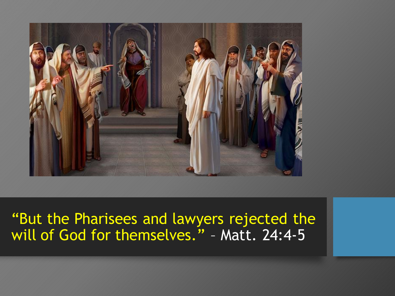

### "But the Pharisees and lawyers rejected the will of God for themselves." – Matt. 24:4-5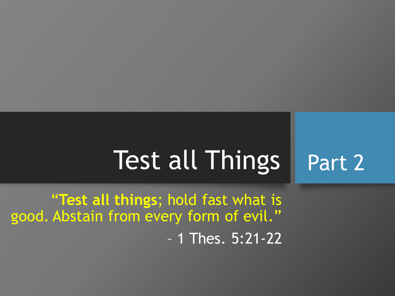#### Test all Things Part 2

"**Test all things**; hold fast what is good. Abstain from every form of evil." – 1 Thes. 5:21-22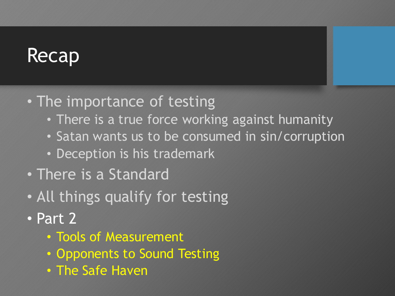# Recap

- The importance of testing
	- There is a true force working against humanity
	- Satan wants us to be consumed in sin/corruption
	- Deception is his trademark
- There is a Standard
- All things qualify for testing
- Part 2
	- Tools of Measurement
	- Opponents to Sound Testing
	- The Safe Haven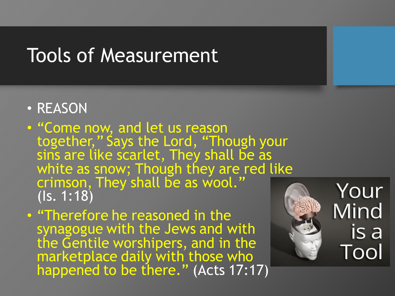- REASON
- "Come now, and let us reason together," Says the Lord, "Though your sins are like scarlet, They shall be as white as snow; Though they are red like crimson, They shall be as wool." (Is. 1:18)
- "Therefore he reasoned in the synagogue with the Jews and with the Gentile worshipers, and in the marketplace daily with those who happened to be there." (Acts 17:17)

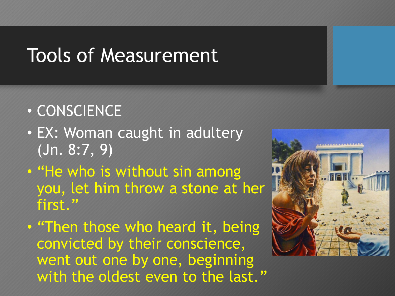## • CONSCIENCE

- EX: Woman caught in adultery (Jn. 8:7, 9)
- "He who is without sin among you, let him throw a stone at her first."
- "Then those who heard it, being convicted by their conscience, went out one by one, beginning with the oldest even to the last."

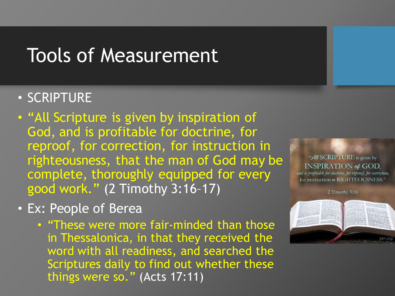#### • SCRIPTURE

- "All Scripture is given by inspiration of God, and is profitable for doctrine, for reproof, for correction, for instruction in righteousness, that the man of God may be complete, thoroughly equipped for every good work." (2 Timothy 3:16–17)
- Ex: People of Berea
	- "These were more fair-minded than those in Thessalonica, in that they received the word with all readiness, and searched the Scriptures daily to find out whether these things were so." (Acts 17:11)

#### "All SCRIPTURE is given by **INSPIRATION of GOD.**

and is profitable for doctrine, for reproof, for correction, for instruction in RIGHTEOUSNESS."

2 Timothy 3:16

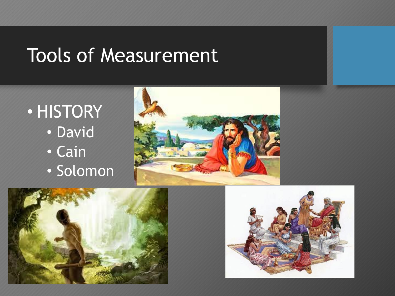





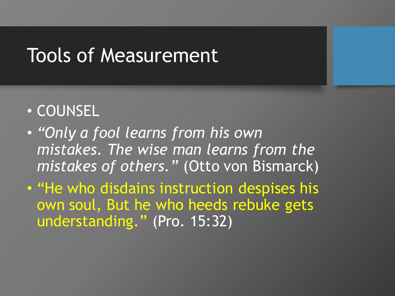## • COUNSEL

- *"Only a fool learns from his own mistakes. The wise man learns from the mistakes of others."* (Otto von Bismarck)
- "He who disdains instruction despises his own soul, But he who heeds rebuke gets understanding." (Pro. 15:32)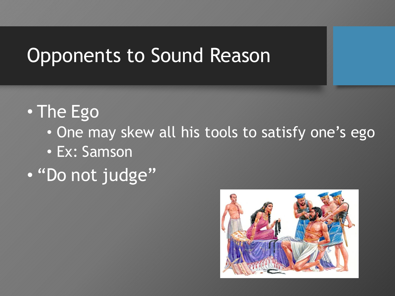# Opponents to Sound Reason

# • The Ego

- One may skew all his tools to satisfy one's ego
- Ex: Samson

# • "Do not judge"

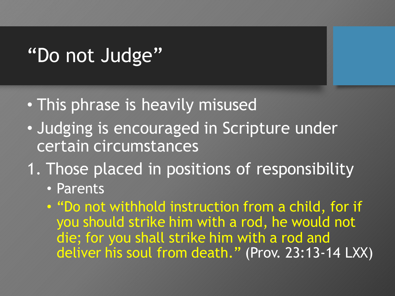# "Do not Judge"

- This phrase is heavily misused
- Judging is encouraged in Scripture under certain circumstances
- 1. Those placed in positions of responsibility
	- Parents
	- "Do not withhold instruction from a child, for if you should strike him with a rod, he would not die; for you shall strike him with a rod and deliver his soul from death." (Prov. 23:13-14 LXX)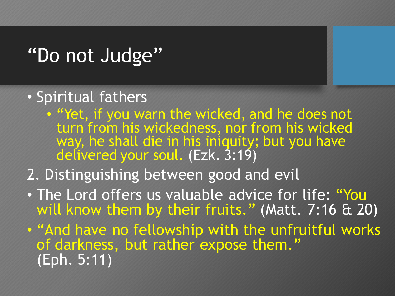# "Do not Judge"

## • Spiritual fathers

• "Yet, if you warn the wicked, and he does not turn from his wickedness, nor from his wicked way, he shall die in his iniquity; but you have delivered your soul. (Ezk. 3:19)

## 2. Distinguishing between good and evil

- The Lord offers us valuable advice for life: "You will know them by their fruits." (Matt. 7:16 & 20)
- "And have no fellowship with the unfruitful works of darkness, but rather expose them." (Eph. 5:11)